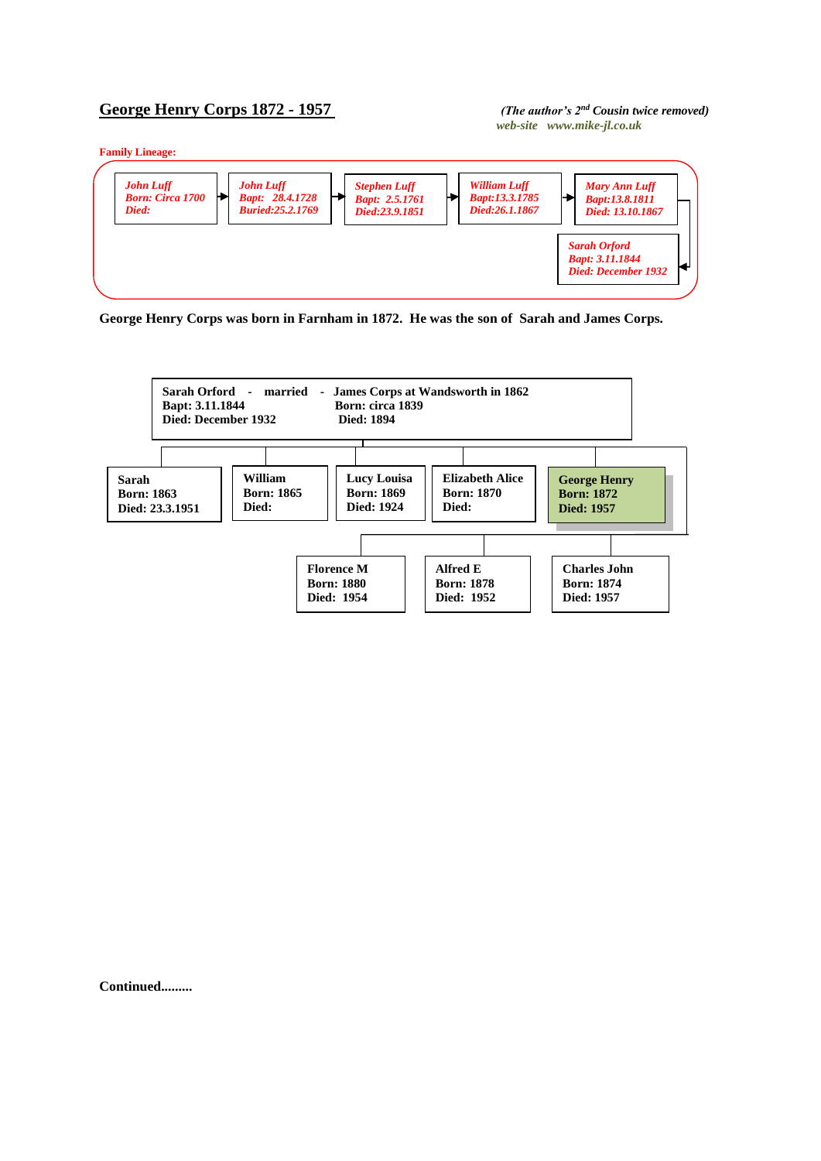## **George Henry Corps 1872 - 1957** *(The author's 2nd Cousin twice removed)*

*web-site www.mike-jl.co.uk*





**George Henry Corps was born in Farnham in 1872. He was the son of Sarah and James Corps.**



**Continued.........**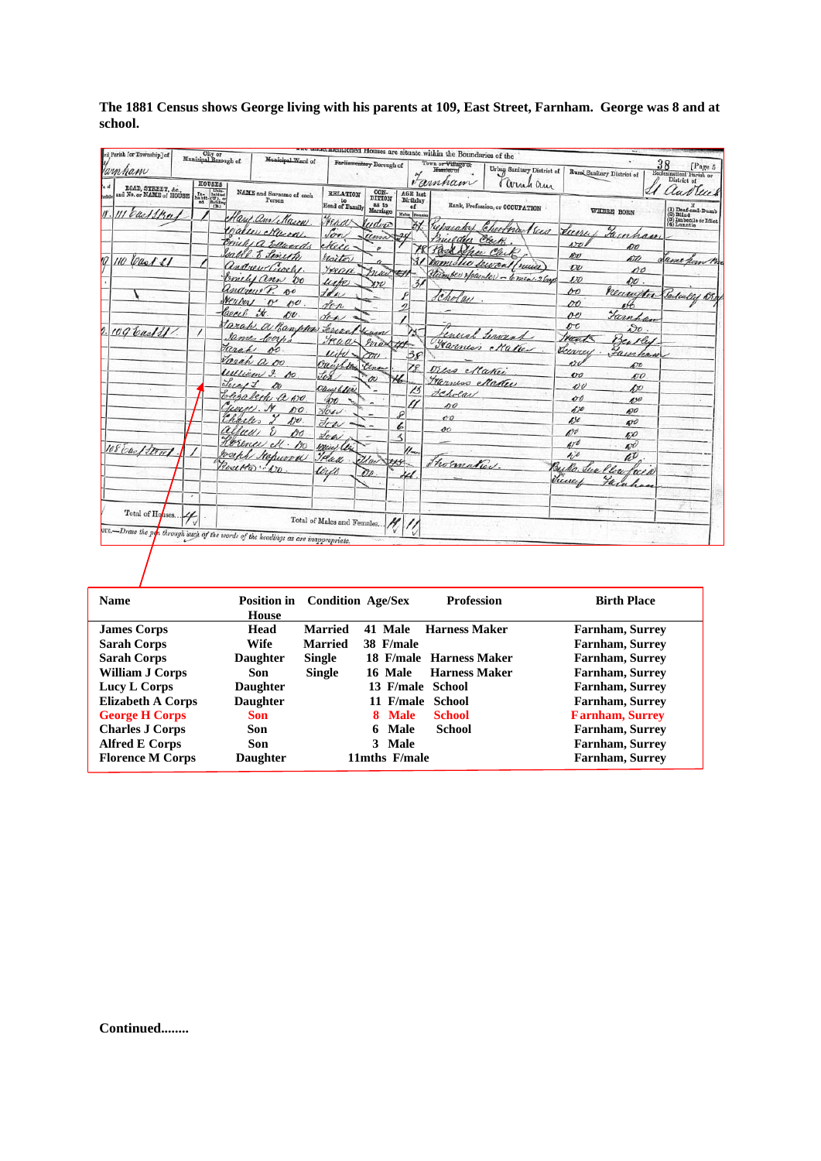| vil Parish [or Township] of<br>amham                        | City or Municipal Borough of<br><b>HOUSES</b>                                                                       | Municipal.Ward of                                                                 |                                         | Porlinmentary Borough of            |                                             | mermentioned Houses are situate within the Boundaries of the<br>Town or Village of<br>Homilet of<br>Farnham | Urban Sanitary District of<br>Cornel am |                                        | Rural Sanitary District of          | 38<br>[Page 5<br>Ecclesiastical Parish or<br>District of                                                                          |
|-------------------------------------------------------------|---------------------------------------------------------------------------------------------------------------------|-----------------------------------------------------------------------------------|-----------------------------------------|-------------------------------------|---------------------------------------------|-------------------------------------------------------------------------------------------------------------|-----------------------------------------|----------------------------------------|-------------------------------------|-----------------------------------------------------------------------------------------------------------------------------------|
| ROAD, STREET, &c.,<br>and No. or NAME of HOUSE<br>cast 115m | $\begin{array}{l} \text{In.} \\ \text{In.} \\ \text{has bit:} \\ \text{of} \\ \text{of} \\ \text{(B.)} \end{array}$ | NAME and Surname of each<br>Person                                                | <b>RELATION</b><br>to<br>Head of Family | CON-<br>DITION<br>as to<br>Marriage | AGE last<br>Birthday<br>of<br>Males Females |                                                                                                             | Rank, Profession, or OCCUPATION         |                                        | WHERE BORN                          | lud Ulus                                                                                                                          |
|                                                             |                                                                                                                     | Hary and Mason<br>ealler Murry                                                    | Haar<br>Son                             | ludvic<br>um                        | 32                                          | rasalort<br>Builder                                                                                         | <i>lehootnow</i><br>Sus<br>Clark        | eun                                    | Fainham                             | $\begin{array}{l} \textbf{(1) Dead-and-Dumb} \\ \textbf{(2) Blind} \\ \textbf{(3) Indeed} \\ \textbf{(4) Lunatio} \\ \end{array}$ |
| 10 Cast SI                                                  |                                                                                                                     | Brick a Edwards<br>salel & Linyth<br>andrew Crosh.                                | ekeee-<br><i>Itsitor</i>                |                                     | Ă1                                          | Pask Shee Clerk<br>Domistic Secret                                                                          | rund                                    | sro.<br>ĸv<br>$\overline{\nu}$         | øo<br>6TO                           | ume for B                                                                                                                         |
|                                                             |                                                                                                                     | Emily ann 00<br>Undrew P. 80                                                      | yead<br>unter<br>H                      | nuit<br>$x\gamma v$                 | رے<br>$\frac{3}{2}$                         |                                                                                                             | Humber Hearner - 6 men. 2 bags          | 170<br>60                              | po<br>$\mathcal{O}O$ .<br>neuwitter |                                                                                                                                   |
|                                                             |                                                                                                                     | Mercal o<br>190<br>beach it.<br>$\mathcal{D}v$ .                                  | den<br>for                              |                                     | $\overline{\phantom{a}}$                    | Cholay.                                                                                                     |                                         | 00<br>oe                               | Turnham                             | Salcally Bra                                                                                                                      |
| 109 back 1/1.                                               | Jarah                                                                                                               | Jarah a Bampler<br>James Coch<br>DO.                                              | Lenan<br>yeaa                           | max 41                              |                                             |                                                                                                             | enced terminal<br>Farmer Maker          | 00<br>rand<br>Jurrey                   | $S_{\mathcal{O}}$ .<br>Bentley      |                                                                                                                                   |
|                                                             |                                                                                                                     | Jarah a oo<br>William J.<br>A <sup>v</sup>                                        | lcir<br>Oauchton<br>tor                 | Clyder<br>ov                        | 38<br>18                                    | tres Matici                                                                                                 |                                         | ero<br>$\overline{v}$                  | amhan<br>p0<br>ЮO                   |                                                                                                                                   |
|                                                             | July 1                                                                                                              | $\Delta v$<br>Elisabeth a wo.                                                     | Ouces filer<br>Ю                        | -                                   | 13                                          | Transes Nature<br>Jehola<br>DO                                                                              |                                         | $\mathbf{v}$<br>00                     | bo<br>$\mathscr{E}$                 |                                                                                                                                   |
|                                                             | Charles<br>alluu                                                                                                    | George. St<br>p0<br>$\mathcal{D}0$ .<br>po                                        | $\forall c$<br>Jow                      |                                     | ₽<br>l                                      | 00<br>$\mathcal{O}O$                                                                                        |                                         | 670<br>650<br>$\mathcal{L}^{y\bar{y}}$ | 600<br>490                          |                                                                                                                                   |
| 108 East Street                                             |                                                                                                                     | Horence ell . Do<br>Joseph Stepwood                                               | Son<br>Way les<br>Platt                 | 2du                                 | $\prec$<br>$\mathcal{U}_{\infty}$           |                                                                                                             |                                         | 470<br>$40^{\circ}$                    | 50<br>w<br>w                        |                                                                                                                                   |
|                                                             |                                                                                                                     | Rosetto 1.00                                                                      | lirto                                   | \$45.<br>Do.                        |                                             | Thormatics.                                                                                                 |                                         | Bec<br>June                            | Clarkees                            |                                                                                                                                   |
| Total of Houses                                             | $\sigma$                                                                                                            |                                                                                   |                                         |                                     |                                             |                                                                                                             |                                         |                                        |                                     |                                                                                                                                   |
|                                                             |                                                                                                                     | orn.-Draw the pen through such of the words of the headings as are inappropriate. | Total of Males and Females              |                                     |                                             |                                                                                                             |                                         |                                        |                                     |                                                                                                                                   |

**The 1881 Census shows George living with his parents at 109, East Street, Farnham. George was 8 and at school.**

| <b>Name</b>              | <b>Position in</b><br>House | <b>Condition Age/Sex</b> |                  | <b>Profession</b>       | <b>Birth Place</b>     |
|--------------------------|-----------------------------|--------------------------|------------------|-------------------------|------------------------|
| <b>James Corps</b>       | Head                        | <b>Married</b>           | 41 Male          | <b>Harness Maker</b>    | <b>Farnham, Surrey</b> |
| <b>Sarah Corps</b>       | Wife                        | <b>Married</b>           | 38 F/male        |                         | <b>Farnham, Surrey</b> |
| <b>Sarah Corps</b>       | <b>Daughter</b>             | <b>Single</b>            |                  | 18 F/male Harness Maker | Farnham, Surrey        |
| <b>William J Corps</b>   | Son                         | <b>Single</b>            | 16 Male          | <b>Harness Maker</b>    | Farnham, Surrey        |
| Lucy L Corps             | <b>Daughter</b>             |                          | 13 F/male School |                         | Farnham, Surrey        |
| <b>Elizabeth A Corps</b> | <b>Daughter</b>             |                          | 11 F/male School |                         | <b>Farnham, Surrey</b> |
| <b>George H Corps</b>    | Son                         |                          | 8 Male           | <b>School</b>           | <b>Farnham, Surrey</b> |
| <b>Charles J Corps</b>   | Son                         |                          | 6 Male           | <b>School</b>           | <b>Farnham, Surrey</b> |
| <b>Alfred E Corps</b>    | Son                         |                          | 3 Male           |                         | <b>Farnham, Surrey</b> |
| <b>Florence M Corps</b>  | <b>Daughter</b>             |                          | 11mths F/male    |                         | <b>Farnham, Surrey</b> |

**Continued........**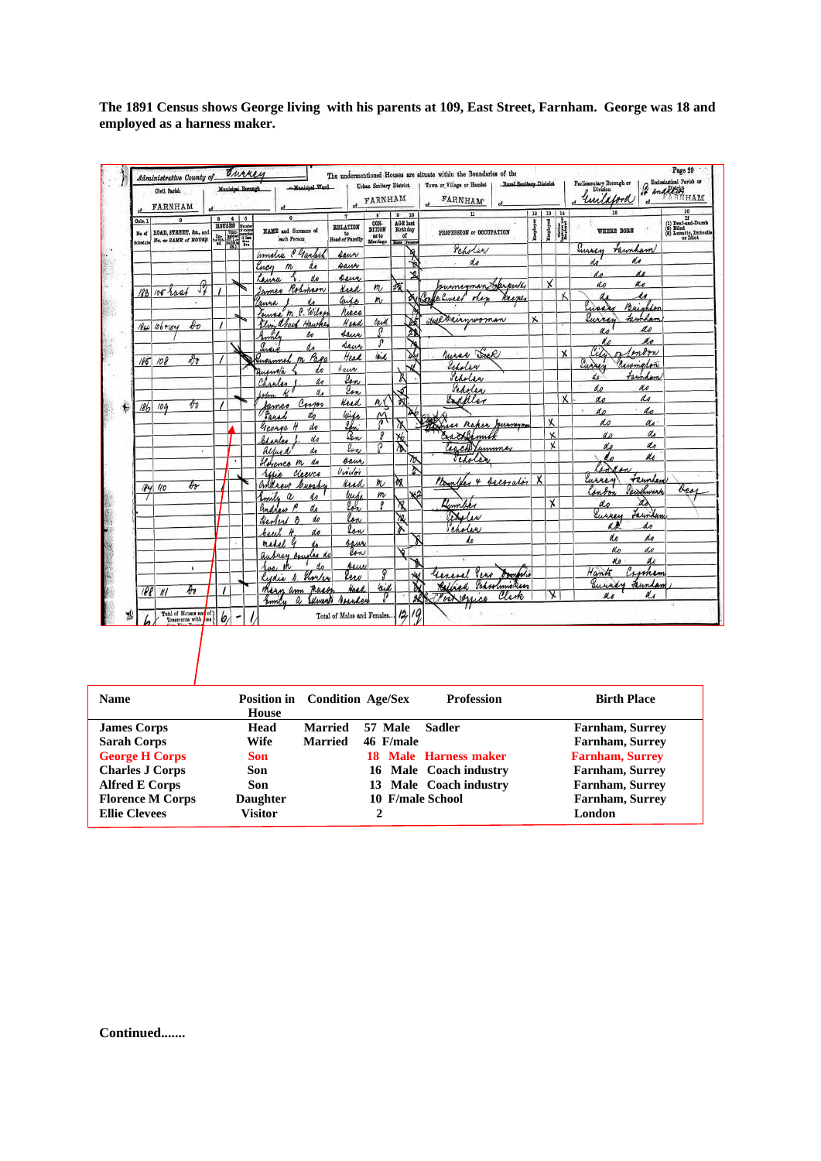|                           | Civil Parish<br>FARNHAM                        |              |          |                | Municipal Borough  | -Manisipal Ward<br>d.              |                      | of FARNHAM                     |           |                              | Royal Senilary District<br>Urban Sanitary Blatrict   Town or Village or Hamlet<br><b>FARNHAM</b> |              |                              |                           | Parliamentary Brough or $\beta$ Ecclesiation Parish or<br>, unilatorl |            | NHAM                                                                                            |
|---------------------------|------------------------------------------------|--------------|----------|----------------|--------------------|------------------------------------|----------------------|--------------------------------|-----------|------------------------------|--------------------------------------------------------------------------------------------------|--------------|------------------------------|---------------------------|-----------------------------------------------------------------------|------------|-------------------------------------------------------------------------------------------------|
| Cols. 1                   |                                                |              | $\bf{a}$ | 4 0<br>HOUSES. | Number<br>of rooms |                                    | <b>RELATION</b>      | $\mathbf{B}$<br>CON-<br>DITION |           | 0 10<br>AGE last<br>Birthday | $\mathbf{n}$                                                                                     | 19   18   14 |                              |                           |                                                                       |            | 16<br>If The feart-Dumb<br>(9) Bind<br>(9) Lenatin, Imbedie<br>(9) Lenatin, Imbedie<br>or Idiot |
| No. of<br><b>Schedzle</b> | BOAD, STREET, &c., and<br>No. or NAME of HOUSE |              |          |                | 平原语                | NAME and Sumame of<br>each Person  | to<br>Head of Family | 88.50<br>Marriago Mon Pensis   |           | αf                           | PROFESSION or OCCUPATION                                                                         | Employer     | <b>Engloyed</b>              | Holten of                 | <b>WHERE BORN</b>                                                     |            |                                                                                                 |
|                           |                                                |              |          |                |                    | amelia Chankel                     | saur                 |                                |           | a                            | Scholar                                                                                          |              |                              |                           | Sussey                                                                | reimham    |                                                                                                 |
|                           |                                                |              |          |                |                    | Lucen<br>m<br>li d                 | saus                 |                                |           |                              | de                                                                                               |              |                              |                           |                                                                       | do         |                                                                                                 |
|                           |                                                |              |          |                |                    | taura                              | seur                 |                                |           | ᢦ                            |                                                                                                  |              | x                            |                           | d n<br>do                                                             | d.c<br>K.c |                                                                                                 |
| 183                       | $106 - 1026$                                   | $\theta$     |          |                |                    | James Robinson                     | Kead                 | m                              | 函         |                              | sumeyman Sprawle<br>e. Curred olon                                                               |              |                              |                           |                                                                       | M          |                                                                                                 |
|                           |                                                |              |          |                |                    | anna                               | Caise                | m                              |           | 我                            | Reare                                                                                            |              |                              |                           | west                                                                  | Brighton   |                                                                                                 |
|                           |                                                |              |          |                |                    | Louisa M. P. Wilso                 | Kiecc                | laid                           |           |                              | Hellewwwoman                                                                                     | $\mathsf{x}$ |                              |                           | Lurres                                                                | taundan    |                                                                                                 |
|                           | $1846 + 106 + 104$                             | $\theta v$   |          |                |                    | Elvin abeck<br>Hawke<br>so         | Head<br>sauce        | P                              |           | À                            |                                                                                                  |              |                              |                           |                                                                       | ao         |                                                                                                 |
|                           |                                                |              |          |                |                    | Smile<br>Inci<br>$d_{\mathcal{A}}$ | saur                 | ß                              |           |                              |                                                                                                  |              |                              |                           |                                                                       | K o        |                                                                                                 |
|                           |                                                |              |          |                |                    | Ingannel n Page                    | Head                 | lind.                          |           |                              | Murac Suck                                                                                       |              |                              | $\boldsymbol{\mathsf{x}}$ |                                                                       | moon       |                                                                                                 |
|                           | $185 - 108$                                    | $\partial t$ |          |                |                    | Quemola<br>do                      | bauer                |                                |           |                              | Scholar                                                                                          |              |                              |                           | Europey                                                               | recomplem  |                                                                                                 |
|                           |                                                |              |          |                |                    | Charles                            | Ien                  |                                |           |                              | Scholar                                                                                          |              |                              |                           | do                                                                    | ternham    |                                                                                                 |
|                           |                                                |              |          |                |                    | d.<br>Jahn                         | lon                  |                                | 6         |                              | Scholar                                                                                          |              |                              |                           | do                                                                    | ns.        |                                                                                                 |
|                           | 186   109                                      | $\theta$     |          |                |                    | Corsos<br>fames                    | Head                 | n (                            | স্ব       |                              | Eachler                                                                                          |              |                              | x                         | do                                                                    | do         |                                                                                                 |
|                           |                                                |              |          |                |                    | do<br>Sanad                        | Witc                 | $\mathop{\mathsf{A}}\nolimits$ |           |                              |                                                                                                  |              |                              |                           | d n                                                                   | do         |                                                                                                 |
|                           |                                                |              |          |                |                    | Н<br>do<br>George                  | lbri                 |                                |           |                              | Dinces napan Juanayan                                                                            |              | Х                            |                           | do                                                                    | do<br>do   |                                                                                                 |
|                           |                                                |              |          |                |                    | do<br>Blance                       | <u>Pon</u>           | д                              | <b>76</b> |                              | rackbemi                                                                                         |              | $\overline{\mathsf{x}}$<br>x |                           | d n                                                                   | do         |                                                                                                 |
|                           |                                                | ¥            |          |                |                    | aller d<br>de                      | lon                  |                                | Σ         |                              | Carcell Lumma                                                                                    |              |                              |                           |                                                                       | do         |                                                                                                 |
|                           |                                                |              |          |                |                    | Horance m do                       | caus,                |                                |           | 70<br>r                      | ochola                                                                                           |              |                              |                           |                                                                       |            |                                                                                                 |
|                           |                                                |              |          |                |                    | Silio Cleeves                      | Violoi               | m                              | M         |                              | Monday 4 Secondor X                                                                              |              |                              |                           | wires                                                                 | teunley    |                                                                                                 |
|                           | 184 110                                        | Dr-          |          |                |                    | andrew buoshy                      | <i>Read</i>          | m                              |           |                              |                                                                                                  |              |                              |                           |                                                                       | Scirchwark | bee                                                                                             |
|                           |                                                |              |          |                |                    | Emily a<br>do                      | lusi<br>lah,         |                                | X         |                              | Lumber                                                                                           |              | X                            |                           | do                                                                    | λà         |                                                                                                 |
|                           |                                                |              |          |                |                    | Graham<br>do<br>do                 | lon                  |                                | 浊         |                              | Baley                                                                                            |              |                              |                           | Surrey                                                                | Lewilan    |                                                                                                 |
|                           |                                                |              |          |                |                    | Herbert 8<br>beach<br>#<br>do      | lsn                  |                                | ኡ         |                              | Scholar                                                                                          |              |                              |                           | кk                                                                    | do         |                                                                                                 |
|                           |                                                |              |          |                |                    | madel                              | saw                  |                                |           |                              | h                                                                                                |              |                              |                           | do                                                                    | ø.         |                                                                                                 |
|                           |                                                |              |          |                |                    | las de<br>aubrey Anne              | low                  |                                | ٧ĩ        |                              |                                                                                                  |              |                              |                           | do                                                                    | do         |                                                                                                 |
|                           |                                                | ٠            |          |                |                    | has.                               | Acur                 |                                |           |                              |                                                                                                  |              |                              |                           | M a                                                                   | do         |                                                                                                 |
|                           |                                                |              |          |                |                    | Rydia A. Showles                   | lew                  | ç                              |           | ₩                            | univel Pers                                                                                      |              |                              |                           | Hants                                                                 | roskan     |                                                                                                 |
| 188                       | $^{\prime\prime}$                              | Т            | $\prime$ |                |                    | Mayo am Mass                       | Hoad                 | kid                            |           |                              | Schoolmichean<br>God                                                                             |              |                              |                           | Surrey                                                                | Funda      |                                                                                                 |
|                           |                                                |              |          |                |                    | Television<br>Emply<br>$\theta$    | Jorndon              |                                |           | ж                            | Click<br>conquire                                                                                |              | X                            |                           | $\mathcal{U}_\ell$                                                    | a.         |                                                                                                 |

**The 1891 Census shows George living with his parents at 109, East Street, Farnham. George was 18 and employed as a harness maker.**

| <b>Name</b>             | <b>Position in</b> Condition Age/Sex<br><b>House</b> |                |                  | <b>Profession</b>      | <b>Birth Place</b>     |
|-------------------------|------------------------------------------------------|----------------|------------------|------------------------|------------------------|
| <b>James Corps</b>      | Head                                                 | Married        | 57 Male          | <b>Sadler</b>          | <b>Farnham, Surrey</b> |
| <b>Sarah Corps</b>      | Wife                                                 | <b>Married</b> | 46 F/male        |                        | <b>Farnham, Surrey</b> |
| <b>George H Corps</b>   | <b>Son</b>                                           |                |                  | 18 Male Harness maker  | <b>Farnham, Surrey</b> |
| <b>Charles J Corps</b>  | Son                                                  |                |                  | 16 Male Coach industry | Farnham, Surrey        |
| <b>Alfred E Corps</b>   | Son                                                  |                |                  | 13 Male Coach industry | <b>Farnham, Surrey</b> |
| <b>Florence M Corps</b> | <b>Daughter</b>                                      |                | 10 F/male School |                        | <b>Farnham, Surrey</b> |
| <b>Ellie Clevees</b>    | Visitor                                              |                | 2                |                        | London                 |

**Continued.......**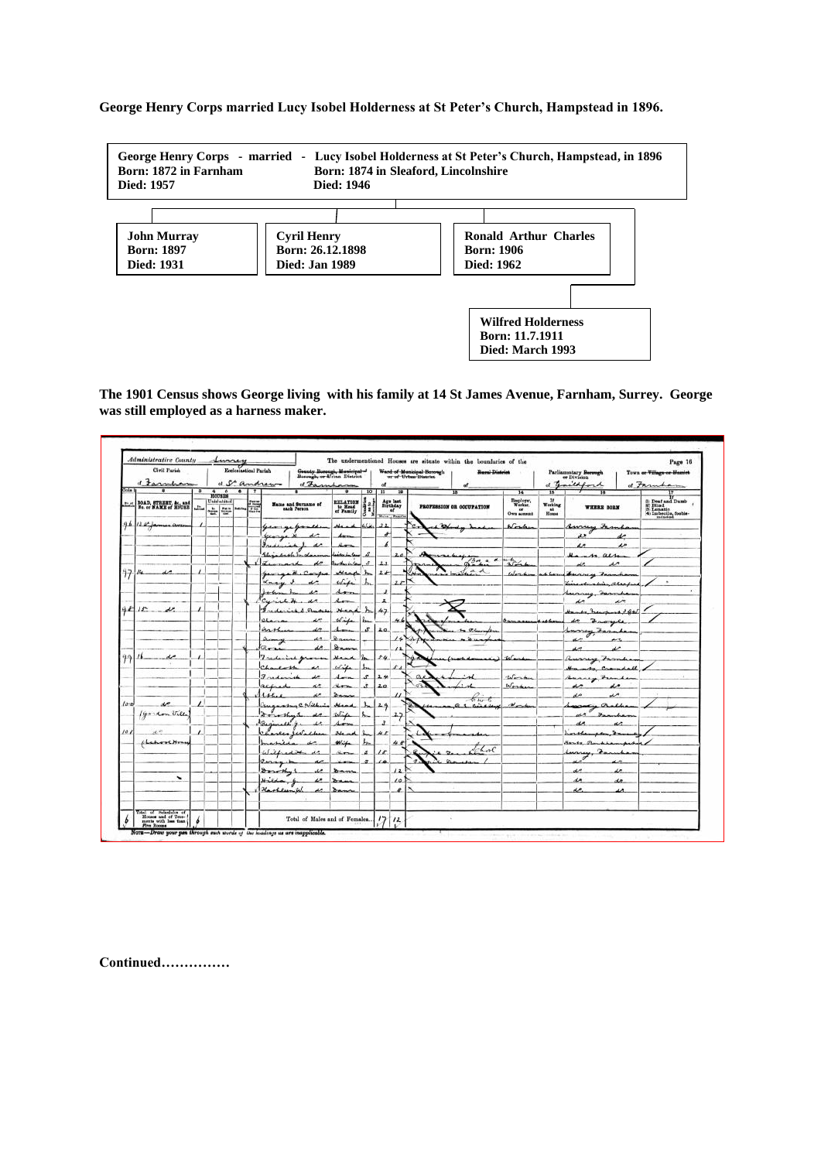## **George Henry Corps married Lucy Isobel Holderness at St Peter's Church, Hampstead in 1896.**



**The 1901 Census shows George living with his family at 14 St James Avenue, Farnham, Surrey. George was still employed as a harness maker.**

| Civil Parish<br>Ecclesiastical Parish<br>dfarmham<br>of St andrews<br>Cola |                                                |     |                            |   | d Farnham | Genuty Borough, Municipal- |                               | ۵f                                            |                      | Ward of Municipal Borough<br>or of Urban District | Rend District                                        |    |                                       | Parliamentary Berough<br>or Division<br>of Gaildford    | Page 16<br><b>Town or Village or Hamlet</b><br>of Farmham     |                            |                    |                                                                                          |
|----------------------------------------------------------------------------|------------------------------------------------|-----|----------------------------|---|-----------|----------------------------|-------------------------------|-----------------------------------------------|----------------------|---------------------------------------------------|------------------------------------------------------|----|---------------------------------------|---------------------------------------------------------|---------------------------------------------------------------|----------------------------|--------------------|------------------------------------------------------------------------------------------|
|                                                                            | ROAD, STREET, &c., and<br>No. or NAME of HOUSE | Jh. | HOUSES<br>Unislabited<br>÷ | 쯫 | Ħ         |                            | Mame and Surname of           | $\bullet$<br>EILATION<br>to Head<br>of Family | 10<br>$rac{4\pi}{x}$ | π                                                 | 羅<br>Age last<br>Birthday<br>of<br><b>Econ</b> Frace |    | 15<br><b>PROFESSION OR OCCUPATION</b> | 14<br>Employer,<br>Worker,<br>$^{\circ}$<br>Own account | 15<br>$\mathbf{r}$<br>Wasking<br>$n_{\text{max}}^{\text{at}}$ | WHERE BORN                 |                    | (I) Deaf and Dumb<br>(E) Blind<br>(B) Lenatio<br>(4) Imbedia, footherman<br>(a) Interest |
|                                                                            | $96$ $132$ parmer avec                         |     |                            |   |           | $9 - 9$                    |                               |                                               |                      |                                                   |                                                      |    |                                       | North                                                   |                                                               | somy nonla                 |                    |                                                                                          |
|                                                                            |                                                |     |                            |   |           |                            |                               |                                               |                      |                                                   |                                                      |    |                                       |                                                         |                                                               |                            |                    |                                                                                          |
|                                                                            |                                                |     |                            |   |           |                            |                               | وسهرته                                        |                      |                                                   |                                                      |    |                                       |                                                         |                                                               | $\overline{\phantom{a}}$   | u                  |                                                                                          |
|                                                                            |                                                |     |                            |   |           |                            |                               | $\epsilon$                                    |                      |                                                   |                                                      |    |                                       |                                                         |                                                               | $-42.011$                  |                    |                                                                                          |
|                                                                            |                                                |     |                            |   |           |                            |                               | dartha in fa                                  |                      | 21                                                |                                                      |    | $\frac{3n}{2}$ $\frac{3n}{2}$         |                                                         |                                                               |                            |                    |                                                                                          |
| 97                                                                         | $14-$                                          |     |                            |   |           |                            |                               | Head                                          | ъ.                   | 2d                                                |                                                      |    | and.                                  |                                                         |                                                               |                            |                    |                                                                                          |
|                                                                            |                                                |     |                            |   |           | Lucy                       |                               | wife                                          | b.                   |                                                   |                                                      |    |                                       |                                                         |                                                               |                            |                    |                                                                                          |
|                                                                            |                                                |     |                            |   |           | $-6 - 6$                   |                               | A                                             |                      | J.                                                |                                                      |    |                                       |                                                         |                                                               |                            |                    |                                                                                          |
|                                                                            |                                                |     |                            |   |           | Curry                      |                               | $\frac{1}{2}$                                 |                      | 로                                                 |                                                      |    |                                       |                                                         |                                                               | <b>MODIAL PRODUCT</b><br>ᅭ | u                  |                                                                                          |
|                                                                            | $9815 - 1$                                     |     |                            |   |           | <b>Frank</b>               |                               | $H = 0$                                       | ъ.                   | 47                                                |                                                      |    |                                       |                                                         |                                                               | Hands hewthout I am        |                    |                                                                                          |
|                                                                            |                                                |     |                            |   |           |                            |                               | Wife                                          | b.                   |                                                   |                                                      |    |                                       |                                                         |                                                               |                            |                    |                                                                                          |
|                                                                            |                                                |     |                            |   |           | $n +$                      | u                             |                                               | s                    | 20                                                |                                                      |    | to chemical                           |                                                         |                                                               | Francische                 |                    |                                                                                          |
|                                                                            |                                                |     |                            |   |           |                            | ot t                          |                                               |                      |                                                   | 14                                                   | A  |                                       |                                                         |                                                               | many tan                   |                    |                                                                                          |
|                                                                            |                                                |     |                            |   |           | $u - u$                    | de.                           | Same.<br>8 <sub>new</sub>                     |                      |                                                   |                                                      |    |                                       |                                                         |                                                               |                            |                    |                                                                                          |
| $99 -$                                                                     | $11 - 40$                                      |     |                            |   |           |                            |                               |                                               |                      |                                                   |                                                      |    |                                       |                                                         |                                                               | u                          |                    |                                                                                          |
|                                                                            |                                                |     |                            |   |           |                            | I redesired process.          | Head                                          |                      | 54                                                |                                                      |    |                                       |                                                         |                                                               | Lurrey Farne               |                    |                                                                                          |
|                                                                            |                                                |     |                            |   |           |                            |                               | $\overline{u}$                                | Jю.                  |                                                   |                                                      |    |                                       |                                                         |                                                               |                            |                    |                                                                                          |
|                                                                            |                                                |     |                            |   |           | Frederick                  |                               |                                               | $\mathcal{F}$        | 2, 9                                              |                                                      | ae |                                       | Work                                                    |                                                               | manage Far                 |                    |                                                                                          |
|                                                                            |                                                |     |                            |   |           |                            |                               | $\lambda$                                     | x.                   | 20                                                |                                                      |    |                                       | Works                                                   |                                                               |                            |                    |                                                                                          |
|                                                                            |                                                |     |                            |   |           | $1 + 6 - 1$                | u                             | 2222                                          |                      |                                                   |                                                      |    | $6 - 6$                               |                                                         |                                                               | de                         | مد                 |                                                                                          |
| $10 - 10$                                                                  | se                                             |     |                            |   |           |                            | androp C. Williams            | Mand                                          |                      | $1 - 29$                                          |                                                      | s. |                                       |                                                         |                                                               | works Chald                |                    |                                                                                          |
|                                                                            | Igo con Villa                                  |     |                            |   |           | $2 - 16$                   |                               | $w +$                                         | ъ.,                  |                                                   |                                                      |    |                                       |                                                         |                                                               |                            | $x_1, \ldots, x_n$ |                                                                                          |
|                                                                            |                                                |     |                            |   |           | Resinell                   |                               | down                                          |                      | 3                                                 |                                                      |    |                                       |                                                         |                                                               | u                          | u                  |                                                                                          |
| 101                                                                        | A <sup>C</sup>                                 |     |                            |   |           |                            |                               | Ma mi                                         |                      | H. E                                              |                                                      |    |                                       |                                                         |                                                               |                            |                    |                                                                                          |
|                                                                            | LaherCHrs                                      |     |                            |   |           | madell                     |                               | $W_{n+1}$                                     | <b>Paul</b>          |                                                   | 幺                                                    |    | Luc                                   |                                                         |                                                               | Manufa, Pho                |                    |                                                                                          |
|                                                                            |                                                |     |                            |   |           | كمقدلتنا                   | شاهد                          | <b>Server</b>                                 | s                    | $\iota$                                           |                                                      |    |                                       |                                                         |                                                               |                            |                    |                                                                                          |
|                                                                            |                                                |     |                            |   |           | <b>Links</b>               | u                             |                                               | s.                   |                                                   |                                                      |    |                                       |                                                         |                                                               |                            |                    |                                                                                          |
|                                                                            |                                                |     |                            |   |           | $3 - 1$                    | u                             | $B_{max}$                                     |                      |                                                   |                                                      |    |                                       |                                                         |                                                               | se                         | ı.                 |                                                                                          |
|                                                                            | $\overline{\phantom{0}}$                       |     |                            |   |           | Hilda, g                   |                               | $2 - 1$                                       |                      |                                                   | $\overline{10}$                                      |    |                                       |                                                         |                                                               | de                         | de                 |                                                                                          |
|                                                                            |                                                |     |                            |   |           | Hashlun W.                 | æ.                            | 200                                           |                      |                                                   |                                                      |    |                                       |                                                         |                                                               |                            |                    |                                                                                          |
|                                                                            | Total of Scientists of<br>Itomes and of Temp-  |     |                            |   |           |                            |                               |                                               |                      |                                                   |                                                      |    |                                       |                                                         |                                                               |                            |                    |                                                                                          |
|                                                                            | ments with less than<br>Five Rooms             |     |                            |   |           |                            | Total of Males and of Females |                                               |                      | 17                                                | 12                                                   |    |                                       |                                                         |                                                               |                            |                    |                                                                                          |

**Continued……………**